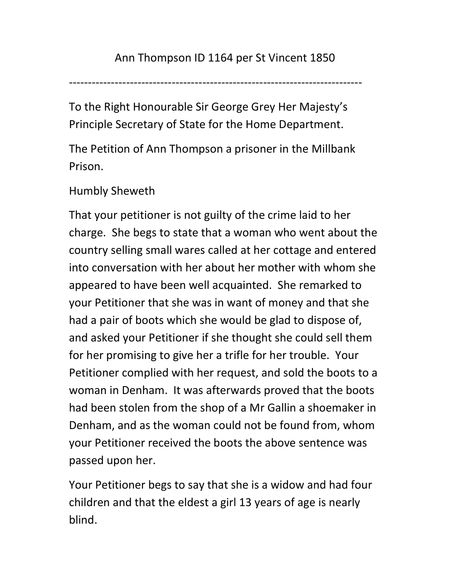-----------------------------------------------------------------------------

To the Right Honourable Sir George Grey Her Majesty's Principle Secretary of State for the Home Department.

The Petition of Ann Thompson a prisoner in the Millbank Prison.

## Humbly Sheweth

That your petitioner is not guilty of the crime laid to her charge. She begs to state that a woman who went about the country selling small wares called at her cottage and entered into conversation with her about her mother with whom she appeared to have been well acquainted. She remarked to your Petitioner that she was in want of money and that she had a pair of boots which she would be glad to dispose of, and asked your Petitioner if she thought she could sell them for her promising to give her a trifle for her trouble. Your Petitioner complied with her request, and sold the boots to a woman in Denham. It was afterwards proved that the boots had been stolen from the shop of a Mr Gallin a shoemaker in Denham, and as the woman could not be found from, whom your Petitioner received the boots the above sentence was passed upon her.

Your Petitioner begs to say that she is a widow and had four children and that the eldest a girl 13 years of age is nearly blind.